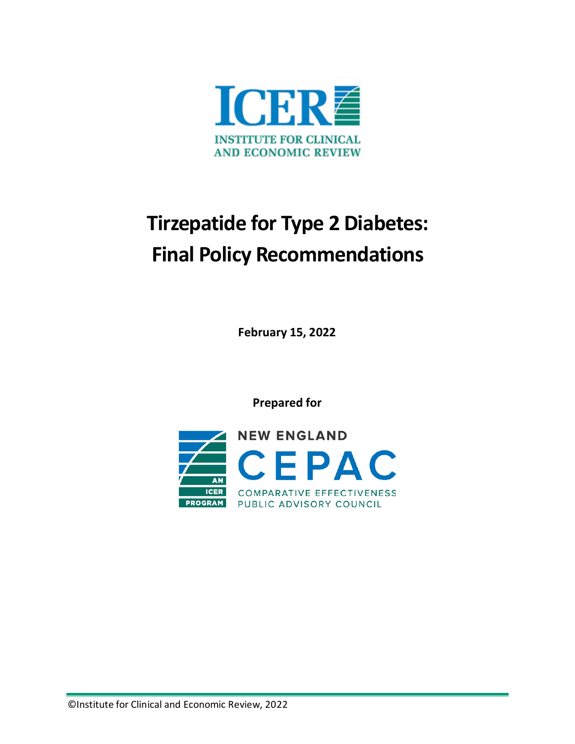

# **Tirzepatide for Type 2 Diabetes: Final Policy Recommendations**

**February 15, 2022**

**Prepared for**

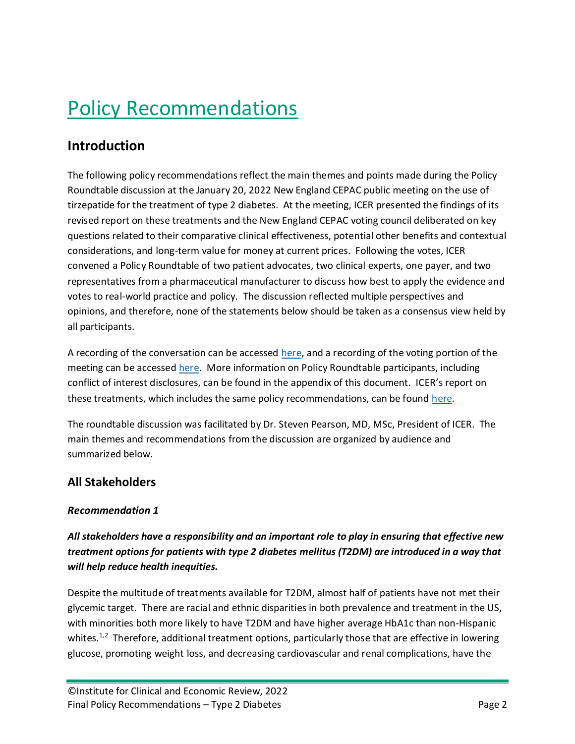# Policy Recommendations

## **Introduction**

The following policy recommendations reflect the main themes and points made during the Policy Roundtable discussion at the January 20, 2022 New England CEPAC public meeting on the use of tirzepatide for the treatment of type 2 diabetes. At the meeting, ICER presented the findings of its revised report on these treatments and the New England CEPAC voting council deliberated on key questions related to their comparative clinical effectiveness, potential other benefits and contextual considerations, and long-term value for money at current prices. Following the votes, ICER convened a Policy Roundtable of two patient advocates, two clinical experts, one payer, and two representatives from a pharmaceutical manufacturer to discuss how best to apply the evidence and votes to real-world practice and policy. The discussion reflected multiple perspectives and opinions, and therefore, none of the statements below should be taken as a consensus view held by all participants.

A recording of the conversation can be accessed [here,](https://www.youtube.com/watch?v=Ll7dQYFO_yw) and a recording of the voting portion of the meeting can be accessed [here.](https://www.youtube.com/watch?v=xLU-VJNEmYw) More information on Policy Roundtable participants, including conflict of interest disclosures, can be found in the appendix of this document. ICER's report on these treatments, which includes the same policy recommendations, can be found [here.](https://icer.org/assessment/diabetes-type-2-2022/#timeline)

The roundtable discussion was facilitated by Dr. Steven Pearson, MD, MSc, President of ICER. The main themes and recommendations from the discussion are organized by audience and summarized below.

## **All Stakeholders**

## *Recommendation 1*

## *All stakeholders have a responsibility and an important role to play in ensuring that effective new treatment options for patients with type 2 diabetes mellitus (T2DM) are introduced in a way that will help reduce health inequities.*

Despite the multitude of treatments available for T2DM, almost half of patients have not met their glycemic target. There are racial and ethnic disparities in both prevalence and treatment in the US, with minorities both more likely to have T2DM and have higher average HbA1c than non-Hispanic whites. $1,2$  $1,2$  Therefore, additional treatment options, particularly those that are effective in lowering glucose, promoting weight loss, and decreasing cardiovascular and renal complications, have the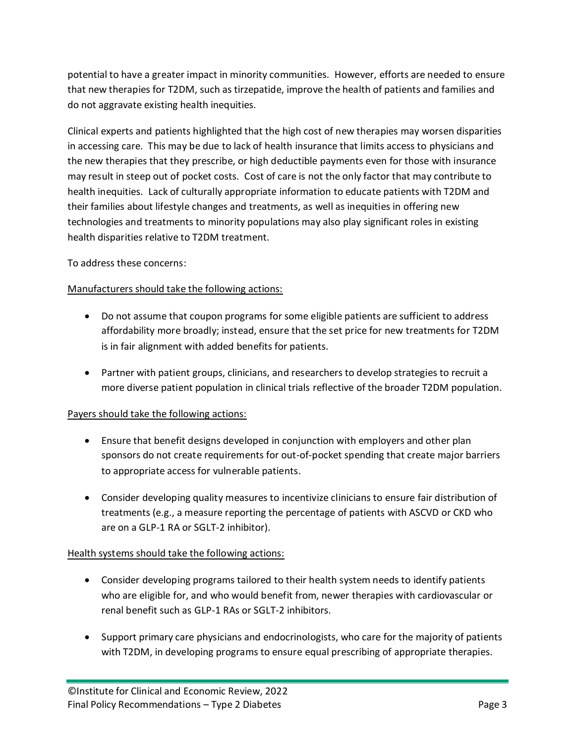potential to have a greater impact in minority communities. However, efforts are needed to ensure that new therapies for T2DM, such as tirzepatide, improve the health of patients and families and do not aggravate existing health inequities.

Clinical experts and patients highlighted that the high cost of new therapies may worsen disparities in accessing care. This may be due to lack of health insurance that limits access to physicians and the new therapies that they prescribe, or high deductible payments even for those with insurance may result in steep out of pocket costs. Cost of care is not the only factor that may contribute to health inequities. Lack of culturally appropriate information to educate patients with T2DM and their families about lifestyle changes and treatments, as well as inequities in offering new technologies and treatments to minority populations may also play significant roles in existing health disparities relative to T2DM treatment.

To address these concerns:

### Manufacturers should take the following actions:

- Do not assume that coupon programs for some eligible patients are sufficient to address affordability more broadly; instead, ensure that the set price for new treatments for T2DM is in fair alignment with added benefits for patients.
- Partner with patient groups, clinicians, and researchers to develop strategies to recruit a more diverse patient population in clinical trials reflective of the broader T2DM population.

### Payers should take the following actions:

- Ensure that benefit designs developed in conjunction with employers and other plan sponsors do not create requirements for out-of-pocket spending that create major barriers to appropriate access for vulnerable patients.
- Consider developing quality measures to incentivize clinicians to ensure fair distribution of treatments (e.g., a measure reporting the percentage of patients with ASCVD or CKD who are on a GLP-1 RA or SGLT-2 inhibitor).

### Health systems should take the following actions:

- Consider developing programs tailored to their health system needs to identify patients who are eligible for, and who would benefit from, newer therapies with cardiovascular or renal benefit such as GLP-1 RAs or SGLT-2 inhibitors.
- Support primary care physicians and endocrinologists, who care for the majority of patients with T2DM, in developing programs to ensure equal prescribing of appropriate therapies.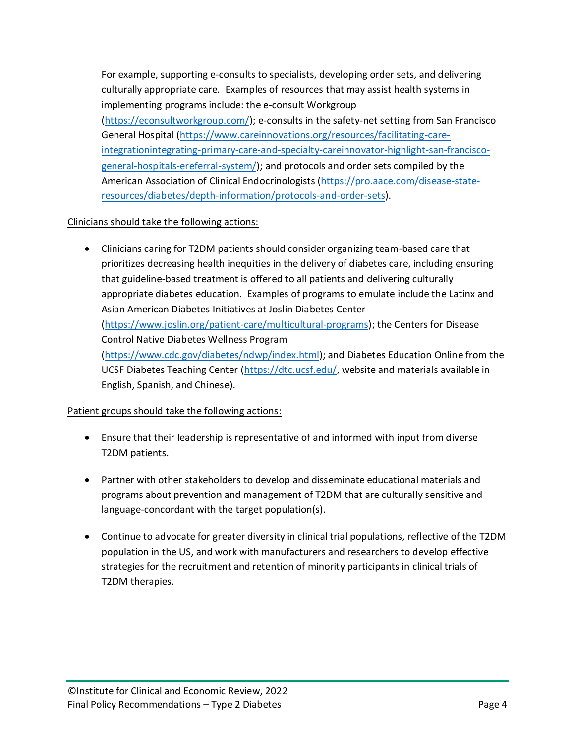For example, supporting e-consults to specialists, developing order sets, and delivering culturally appropriate care. Examples of resources that may assist health systems in implementing programs include: the e-consult Workgroup [\(https://econsultworkgroup.com/\)](https://econsultworkgroup.com/); e-consults in the safety-net setting from San Francisco General Hospital [\(https://www.careinnovations.org/resources/facilitating-care](https://www.careinnovations.org/resources/facilitating-care-integrationintegrating-primary-care-and-specialty-careinnovator-highlight-san-francisco-general-hospitals-ereferral-system/)[integrationintegrating-primary-care-and-specialty-careinnovator-highlight-san-francisco](https://www.careinnovations.org/resources/facilitating-care-integrationintegrating-primary-care-and-specialty-careinnovator-highlight-san-francisco-general-hospitals-ereferral-system/)[general-hospitals-ereferral-system/\)](https://www.careinnovations.org/resources/facilitating-care-integrationintegrating-primary-care-and-specialty-careinnovator-highlight-san-francisco-general-hospitals-ereferral-system/); and protocols and order sets compiled by the American Association of Clinical Endocrinologists [\(https://pro.aace.com/disease-state](https://pro.aace.com/disease-state-resources/diabetes/depth-information/protocols-and-order-sets)[resources/diabetes/depth-information/protocols-and-order-sets\)](https://pro.aace.com/disease-state-resources/diabetes/depth-information/protocols-and-order-sets).

#### Clinicians should take the following actions:

• Clinicians caring for T2DM patients should consider organizing team-based care that prioritizes decreasing health inequities in the delivery of diabetes care, including ensuring that guideline-based treatment is offered to all patients and delivering culturally appropriate diabetes education. Examples of programs to emulate include the Latinx and Asian American Diabetes Initiatives at Joslin Diabetes Center [\(https://www.joslin.org/patient-care/multicultural-programs\)](https://www.joslin.org/patient-care/multicultural-programs); the Centers for Disease Control Native Diabetes Wellness Program [\(https://www.cdc.gov/diabetes/ndwp/index.html\)](https://www.cdc.gov/diabetes/ndwp/index.html); and Diabetes Education Online from the UCSF Diabetes Teaching Center [\(https://dtc.ucsf.edu/,](https://dtc.ucsf.edu/) website and materials available in English, Spanish, and Chinese).

#### Patient groups should take the following actions:

- Ensure that their leadership is representative of and informed with input from diverse T2DM patients.
- Partner with other stakeholders to develop and disseminate educational materials and programs about prevention and management of T2DM that are culturally sensitive and language-concordant with the target population(s).
- Continue to advocate for greater diversity in clinical trial populations, reflective of the T2DM population in the US, and work with manufacturers and researchers to develop effective strategies for the recruitment and retention of minority participants in clinical trials of T2DM therapies.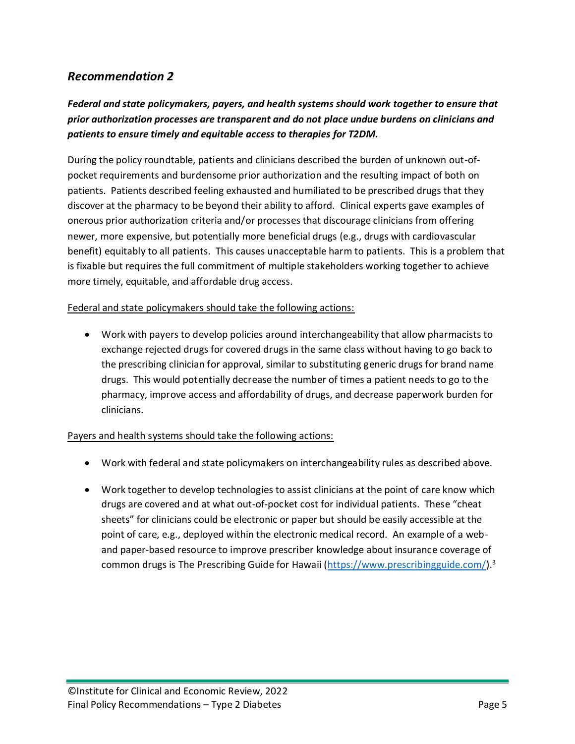## *Recommendation 2*

## *Federal and state policymakers, payers, and health systems should work together to ensure that prior authorization processes are transparent and do not place undue burdens on clinicians and patients to ensure timely and equitable access to therapies for T2DM.*

During the policy roundtable, patients and clinicians described the burden of unknown out-ofpocket requirements and burdensome prior authorization and the resulting impact of both on patients. Patients described feeling exhausted and humiliated to be prescribed drugs that they discover at the pharmacy to be beyond their ability to afford. Clinical experts gave examples of onerous prior authorization criteria and/or processes that discourage clinicians from offering newer, more expensive, but potentially more beneficial drugs (e.g., drugs with cardiovascular benefit) equitably to all patients. This causes unacceptable harm to patients. This is a problem that is fixable but requires the full commitment of multiple stakeholders working together to achieve more timely, equitable, and affordable drug access.

#### Federal and state policymakers should take the following actions:

• Work with payers to develop policies around interchangeability that allow pharmacists to exchange rejected drugs for covered drugs in the same class without having to go back to the prescribing clinician for approval, similar to substituting generic drugs for brand name drugs. This would potentially decrease the number of times a patient needs to go to the pharmacy, improve access and affordability of drugs, and decrease paperwork burden for clinicians.

#### Payers and health systems should take the following actions:

- Work with federal and state policymakers on interchangeability rules as described above.
- Work together to develop technologies to assist clinicians at the point of care know which drugs are covered and at what out-of-pocket cost for individual patients. These "cheat sheets" for clinicians could be electronic or paper but should be easily accessible at the point of care, e.g., deployed within the electronic medical record. An example of a weband paper-based resource to improve prescriber knowledge about insurance coverage of common drugs is The Prescribing Guide for Hawaii [\(https://www.prescribingguide.com/\)](https://www.prescribingguide.com/).<sup>[3](#page-13-2)</sup>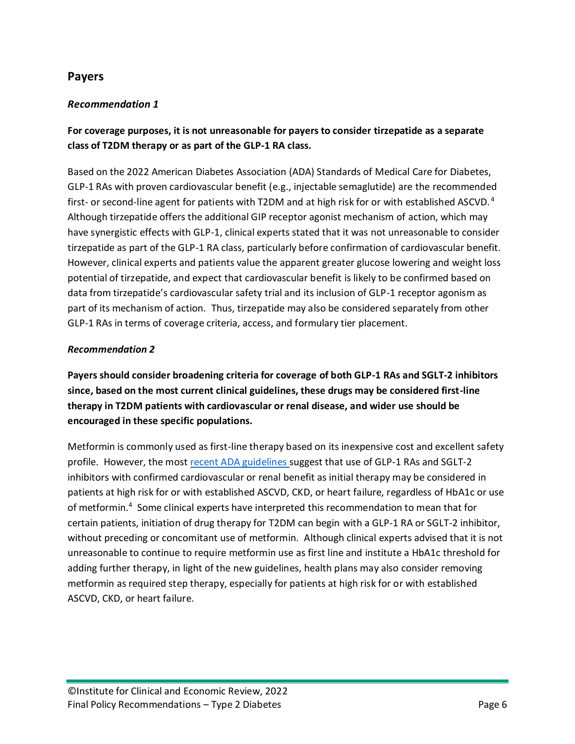## **Payers**

## *Recommendation 1*

**For coverage purposes, it is not unreasonable for payers to consider tirzepatide as a separate class of T2DM therapy or as part of the GLP-1 RA class.**

Based on the 2022 American Diabetes Association (ADA) Standards of Medical Care for Diabetes, GLP-1 RAs with proven cardiovascular benefit (e.g., injectable semaglutide) are the recommended first-or second-line agent for patients with T2DM and at high risk for or with established ASCVD.<sup>4</sup> Although tirzepatide offers the additional GIP receptor agonist mechanism of action, which may have synergistic effects with GLP-1, clinical experts stated that it was not unreasonable to consider tirzepatide as part of the GLP-1 RA class, particularly before confirmation of cardiovascular benefit. However, clinical experts and patients value the apparent greater glucose lowering and weight loss potential of tirzepatide, and expect that cardiovascular benefit is likely to be confirmed based on data from tirzepatide's cardiovascular safety trial and its inclusion of GLP-1 receptor agonism as part of its mechanism of action. Thus, tirzepatide may also be considered separately from other GLP-1 RAs in terms of coverage criteria, access, and formulary tier placement.

### *Recommendation 2*

**Payers should consider broadening criteria for coverage of both GLP-1 RAs and SGLT-2 inhibitors since, based on the most current clinical guidelines, these drugs may be considered first-line therapy in T2DM patients with cardiovascular or renal disease, and wider use should be encouraged in these specific populations.** 

Metformin is commonly used as first-line therapy based on its inexpensive cost and excellent safety profile. However, the most [recent ADA guidelines s](https://professional.diabetes.org/content-page/practice-guidelines-resources)uggest that use of GLP-1 RAs and SGLT-2 inhibitors with confirmed cardiovascular or renal benefit as initial therapy may be considered in patients at high risk for or with established ASCVD, CKD, or heart failure, regardless of HbA1c or use of metformin.<sup>[4](#page-13-3)</sup> Some clinical experts have interpreted this recommendation to mean that for certain patients, initiation of drug therapy for T2DM can begin with a GLP-1 RA or SGLT-2 inhibitor, without preceding or concomitant use of metformin. Although clinical experts advised that it is not unreasonable to continue to require metformin use as first line and institute a HbA1c threshold for adding further therapy, in light of the new guidelines, health plans may also consider removing metformin as required step therapy, especially for patients at high risk for or with established ASCVD, CKD, or heart failure.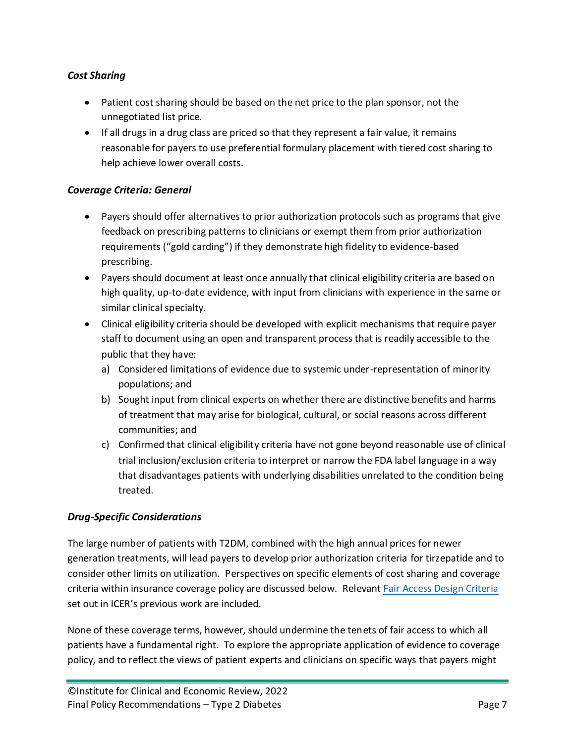## *Cost Sharing*

- Patient cost sharing should be based on the net price to the plan sponsor, not the unnegotiated list price.
- If all drugs in a drug class are priced so that they represent a fair value, it remains reasonable for payers to use preferential formulary placement with tiered cost sharing to help achieve lower overall costs.

### *Coverage Criteria: General*

- Payers should offer alternatives to prior authorization protocols such as programs that give feedback on prescribing patterns to clinicians or exempt them from prior authorization requirements ("gold carding") if they demonstrate high fidelity to evidence-based prescribing.
- Payers should document at least once annually that clinical eligibility criteria are based on high quality, up-to-date evidence, with input from clinicians with experience in the same or similar clinical specialty.
- Clinical eligibility criteria should be developed with explicit mechanisms that require payer staff to document using an open and transparent process that is readily accessible to the public that they have:
	- a) Considered limitations of evidence due to systemic under-representation of minority populations; and
	- b) Sought input from clinical experts on whether there are distinctive benefits and harms of treatment that may arise for biological, cultural, or social reasons across different communities; and
	- c) Confirmed that clinical eligibility criteria have not gone beyond reasonable use of clinical trial inclusion/exclusion criteria to interpret or narrow the FDA label language in a way that disadvantages patients with underlying disabilities unrelated to the condition being treated.

### *Drug-Specific Considerations*

The large number of patients with T2DM, combined with the high annual prices for newer generation treatments, will lead payers to develop prior authorization criteria for tirzepatide and to consider other limits on utilization. Perspectives on specific elements of cost sharing and coverage criteria within insurance coverage policy are discussed below. Relevant [Fair Access Design Criteria](https://34eyj51jerf417itp82ufdoe-wpengine.netdna-ssl.com/wp-content/uploads/2020/11/Cornerstones-of-Fair-Drug-Coverage-_-September-28-2020-corrections-1-5-21.pdf) set out in ICER's previous work are included.

None of these coverage terms, however, should undermine the tenets of fair access to which all patients have a fundamental right. To explore the appropriate application of evidence to coverage policy, and to reflect the views of patient experts and clinicians on specific ways that payers might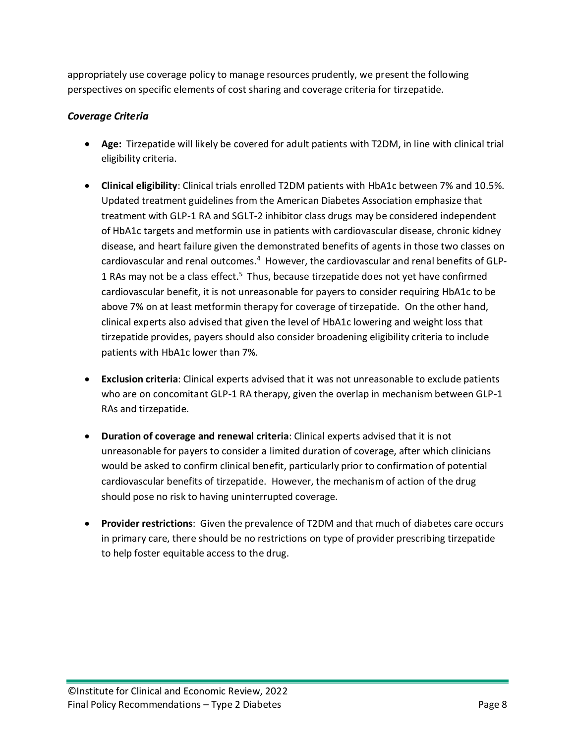appropriately use coverage policy to manage resources prudently, we present the following perspectives on specific elements of cost sharing and coverage criteria for tirzepatide.

## *Coverage Criteria*

- **Age:** Tirzepatide will likely be covered for adult patients with T2DM, in line with clinical trial eligibility criteria.
- **Clinical eligibility**: Clinical trials enrolled T2DM patients with HbA1c between 7% and 10.5%. Updated treatment guidelines from the American Diabetes Association emphasize that treatment with GLP-1 RA and SGLT-2 inhibitor class drugs may be considered independent of HbA1c targets and metformin use in patients with cardiovascular disease, chronic kidney disease, and heart failure given the demonstrated benefits of agents in those two classes on cardiovascular and renal outcomes.<sup>[4](#page-13-3)</sup> However, the cardiovascular and renal benefits of GLP-1RAs may not be a class effect.<sup>5</sup> Thus, because tirzepatide does not yet have confirmed cardiovascular benefit, it is not unreasonable for payers to consider requiring HbA1c to be above 7% on at least metformin therapy for coverage of tirzepatide. On the other hand, clinical experts also advised that given the level of HbA1c lowering and weight loss that tirzepatide provides, payers should also consider broadening eligibility criteria to include patients with HbA1c lower than 7%.
- **Exclusion criteria**: Clinical experts advised that it was not unreasonable to exclude patients who are on concomitant GLP-1 RA therapy, given the overlap in mechanism between GLP-1 RAs and tirzepatide.
- **Duration of coverage and renewal criteria**: Clinical experts advised that it is not unreasonable for payers to consider a limited duration of coverage, after which clinicians would be asked to confirm clinical benefit, particularly prior to confirmation of potential cardiovascular benefits of tirzepatide. However, the mechanism of action of the drug should pose no risk to having uninterrupted coverage.
- **Provider restrictions**: Given the prevalence of T2DM and that much of diabetes care occurs in primary care, there should be no restrictions on type of provider prescribing tirzepatide to help foster equitable access to the drug.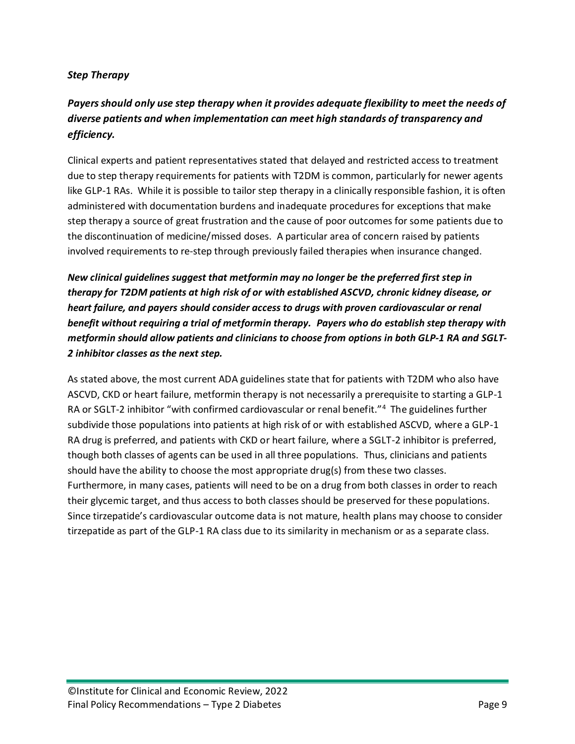## *Step Therapy*

## *Payers should only use step therapy when it provides adequate flexibility to meet the needs of diverse patients and when implementation can meet high standards of transparency and efficiency.*

Clinical experts and patient representatives stated that delayed and restricted access to treatment due to step therapy requirements for patients with T2DM is common, particularly for newer agents like GLP-1 RAs. While it is possible to tailor step therapy in a clinically responsible fashion, it is often administered with documentation burdens and inadequate procedures for exceptions that make step therapy a source of great frustration and the cause of poor outcomes for some patients due to the discontinuation of medicine/missed doses. A particular area of concern raised by patients involved requirements to re-step through previously failed therapies when insurance changed.

*New clinical guidelines suggest that metformin may no longer be the preferred first step in therapy for T2DM patients at high risk of or with established ASCVD, chronic kidney disease, or heart failure, and payers should consider access to drugs with proven cardiovascular or renal benefit without requiring a trial of metformin therapy. Payers who do establish step therapy with metformin should allow patients and clinicians to choose from options in both GLP-1 RA and SGLT-2 inhibitor classes as the next step.*

As stated above, the most current ADA guidelines state that for patients with T2DM who also have ASCVD, CKD or heart failure, metformin therapy is not necessarily a prerequisite to starting a GLP-1 RA or SGLT-2 inhibitor "with confirmed cardiovascular or renal benefit."<sup>[4](#page-13-3)</sup> The guidelines further subdivide those populations into patients at high risk of or with established ASCVD, where a GLP-1 RA drug is preferred, and patients with CKD or heart failure, where a SGLT-2 inhibitor is preferred, though both classes of agents can be used in all three populations. Thus, clinicians and patients should have the ability to choose the most appropriate drug(s) from these two classes. Furthermore, in many cases, patients will need to be on a drug from both classes in order to reach their glycemic target, and thus access to both classes should be preserved for these populations. Since tirzepatide's cardiovascular outcome data is not mature, health plans may choose to consider tirzepatide as part of the GLP-1 RA class due to its similarity in mechanism or as a separate class.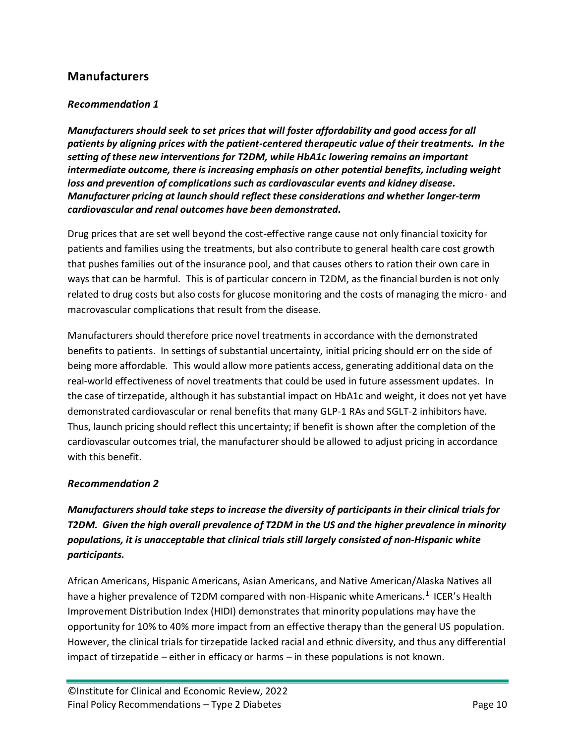## **Manufacturers**

#### *Recommendation 1*

*Manufacturers should seek to set prices that will foster affordability and good access for all patients by aligning prices with the patient-centered therapeutic value of their treatments. In the setting of these new interventions for T2DM, while HbA1c lowering remains an important intermediate outcome, there is increasing emphasis on other potential benefits, including weight loss and prevention of complications such as cardiovascular events and kidney disease. Manufacturer pricing at launch should reflect these considerations and whether longer-term cardiovascular and renal outcomes have been demonstrated.*

Drug prices that are set well beyond the cost-effective range cause not only financial toxicity for patients and families using the treatments, but also contribute to general health care cost growth that pushes families out of the insurance pool, and that causes others to ration their own care in ways that can be harmful. This is of particular concern in T2DM, as the financial burden is not only related to drug costs but also costs for glucose monitoring and the costs of managing the micro- and macrovascular complications that result from the disease.

Manufacturers should therefore price novel treatments in accordance with the demonstrated benefits to patients. In settings of substantial uncertainty, initial pricing should err on the side of being more affordable. This would allow more patients access, generating additional data on the real-world effectiveness of novel treatments that could be used in future assessment updates. In the case of tirzepatide, although it has substantial impact on HbA1c and weight, it does not yet have demonstrated cardiovascular or renal benefits that many GLP-1 RAs and SGLT-2 inhibitors have. Thus, launch pricing should reflect this uncertainty; if benefit is shown after the completion of the cardiovascular outcomes trial, the manufacturer should be allowed to adjust pricing in accordance with this henefit

#### *Recommendation 2*

*Manufacturers should take steps to increase the diversity of participants in their clinical trials for T2DM. Given the high overall prevalence of T2DM in the US and the higher prevalence in minority populations, it is unacceptable that clinical trials still largely consisted of non-Hispanic white participants.*

African Americans, Hispanic Americans, Asian Americans, and Native American/Alaska Natives all have a higher prevalence of T2DM compared with non-Hispanic white Americans.<sup>[1](#page-13-0)</sup> ICER's Health Improvement Distribution Index (HIDI) demonstrates that minority populations may have the opportunity for 10% to 40% more impact from an effective therapy than the general US population. However, the clinical trials for tirzepatide lacked racial and ethnic diversity, and thus any differential impact of tirzepatide – either in efficacy or harms – in these populations is not known.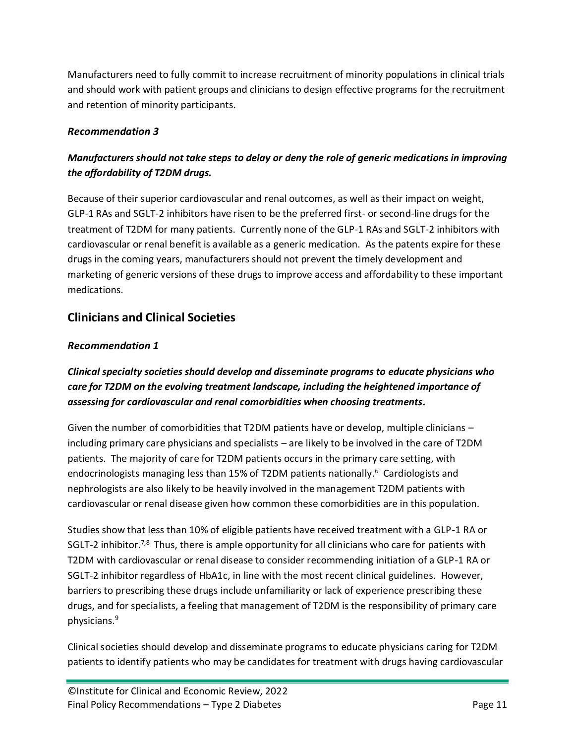Manufacturers need to fully commit to increase recruitment of minority populations in clinical trials and should work with patient groups and clinicians to design effective programs for the recruitment and retention of minority participants.

## *Recommendation 3*

## *Manufacturers should not take steps to delay or deny the role of generic medications in improving the affordability of T2DM drugs.*

Because of their superior cardiovascular and renal outcomes, as well as their impact on weight, GLP-1 RAs and SGLT-2 inhibitors have risen to be the preferred first- or second-line drugs for the treatment of T2DM for many patients. Currently none of the GLP-1 RAs and SGLT-2 inhibitors with cardiovascular or renal benefit is available as a generic medication. As the patents expire for these drugs in the coming years, manufacturers should not prevent the timely development and marketing of generic versions of these drugs to improve access and affordability to these important medications.

## **Clinicians and Clinical Societies**

### *Recommendation 1*

## *Clinical specialty societies should develop and disseminate programs to educate physicians who care for T2DM on the evolving treatment landscape, including the heightened importance of assessing for cardiovascular and renal comorbidities when choosing treatments.*

Given the number of comorbidities that T2DM patients have or develop, multiple clinicians – including primary care physicians and specialists – are likely to be involved in the care of T2DM patients. The majority of care for T2DM patients occurs in the primary care setting, with endocrinologists managing less than 15% of T2DM patients nationally. [6](#page-13-5) Cardiologists and nephrologists are also likely to be heavily involved in the management T2DM patients with cardiovascular or renal disease given how common these comorbidities are in this population.

Studies show that less than 10% of eligible patients have received treatment with a GLP-1 RA or SGLT-2 inhibitor.<sup>[7,](#page-13-6)[8](#page-13-7)</sup> Thus, there is ample opportunity for all clinicians who care for patients with T2DM with cardiovascular or renal disease to consider recommending initiation of a GLP-1 RA or SGLT-2 inhibitor regardless of HbA1c, in line with the most recent clinical guidelines. However, barriers to prescribing these drugs include unfamiliarity or lack of experience prescribing these drugs, and for specialists, a feeling that management of T2DM is the responsibility of primary care physicians.[9](#page-13-8)

Clinical societies should develop and disseminate programs to educate physicians caring for T2DM patients to identify patients who may be candidates for treatment with drugs having cardiovascular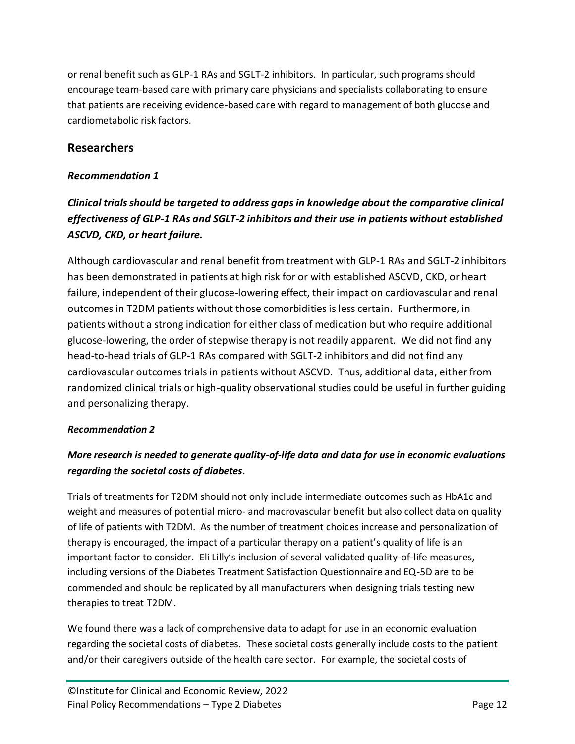or renal benefit such as GLP-1 RAs and SGLT-2 inhibitors. In particular, such programs should encourage team-based care with primary care physicians and specialists collaborating to ensure that patients are receiving evidence-based care with regard to management of both glucose and cardiometabolic risk factors.

## **Researchers**

## *Recommendation 1*

## *Clinical trials should be targeted to address gaps in knowledge about the comparative clinical effectiveness of GLP-1 RAs and SGLT-2 inhibitors and their use in patients without established ASCVD, CKD, or heart failure.*

Although cardiovascular and renal benefit from treatment with GLP-1 RAs and SGLT-2 inhibitors has been demonstrated in patients at high risk for or with established ASCVD, CKD, or heart failure, independent of their glucose-lowering effect, their impact on cardiovascular and renal outcomes in T2DM patients without those comorbidities is less certain. Furthermore, in patients without a strong indication for either class of medication but who require additional glucose-lowering, the order of stepwise therapy is not readily apparent. We did not find any head-to-head trials of GLP-1 RAs compared with SGLT-2 inhibitors and did not find any cardiovascular outcomes trials in patients without ASCVD. Thus, additional data, either from randomized clinical trials or high-quality observational studies could be useful in further guiding and personalizing therapy.

### *Recommendation 2*

## *More research is needed to generate quality-of-life data and data for use in economic evaluations regarding the societal costs of diabetes.*

Trials of treatments for T2DM should not only include intermediate outcomes such as HbA1c and weight and measures of potential micro- and macrovascular benefit but also collect data on quality of life of patients with T2DM. As the number of treatment choices increase and personalization of therapy is encouraged, the impact of a particular therapy on a patient's quality of life is an important factor to consider. Eli Lilly's inclusion of several validated quality-of-life measures, including versions of the Diabetes Treatment Satisfaction Questionnaire and EQ-5D are to be commended and should be replicated by all manufacturers when designing trials testing new therapies to treat T2DM.

We found there was a lack of comprehensive data to adapt for use in an economic evaluation regarding the societal costs of diabetes. These societal costs generally include costs to the patient and/or their caregivers outside of the health care sector. For example, the societal costs of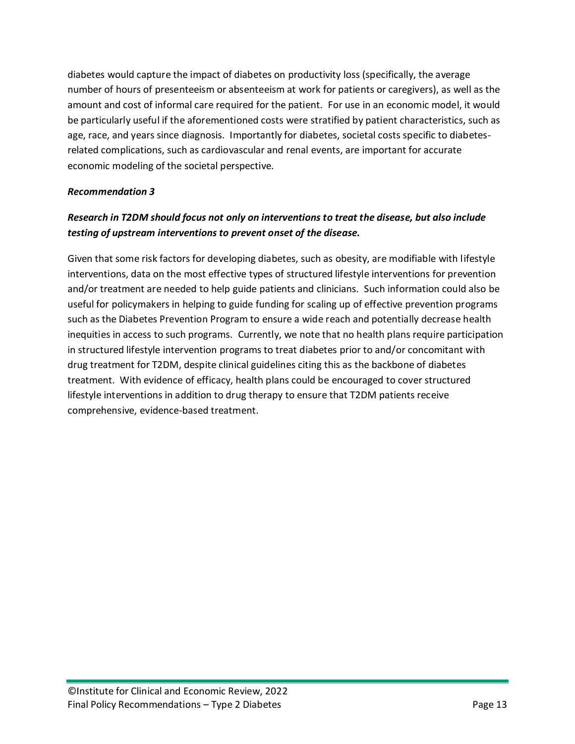diabetes would capture the impact of diabetes on productivity loss (specifically, the average number of hours of presenteeism or absenteeism at work for patients or caregivers), as well as the amount and cost of informal care required for the patient. For use in an economic model, it would be particularly useful if the aforementioned costs were stratified by patient characteristics, such as age, race, and years since diagnosis. Importantly for diabetes, societal costs specific to diabetesrelated complications, such as cardiovascular and renal events, are important for accurate economic modeling of the societal perspective.

#### *Recommendation 3*

## *Research in T2DM should focus not only on interventions to treat the disease, but also include testing of upstream interventions to prevent onset of the disease.*

Given that some risk factors for developing diabetes, such as obesity, are modifiable with lifestyle interventions, data on the most effective types of structured lifestyle interventions for prevention and/or treatment are needed to help guide patients and clinicians. Such information could also be useful for policymakers in helping to guide funding for scaling up of effective prevention programs such as the Diabetes Prevention Program to ensure a wide reach and potentially decrease health inequities in access to such programs. Currently, we note that no health plans require participation in structured lifestyle intervention programs to treat diabetes prior to and/or concomitant with drug treatment for T2DM, despite clinical guidelines citing this as the backbone of diabetes treatment. With evidence of efficacy, health plans could be encouraged to cover structured lifestyle interventions in addition to drug therapy to ensure that T2DM patients receive comprehensive, evidence-based treatment.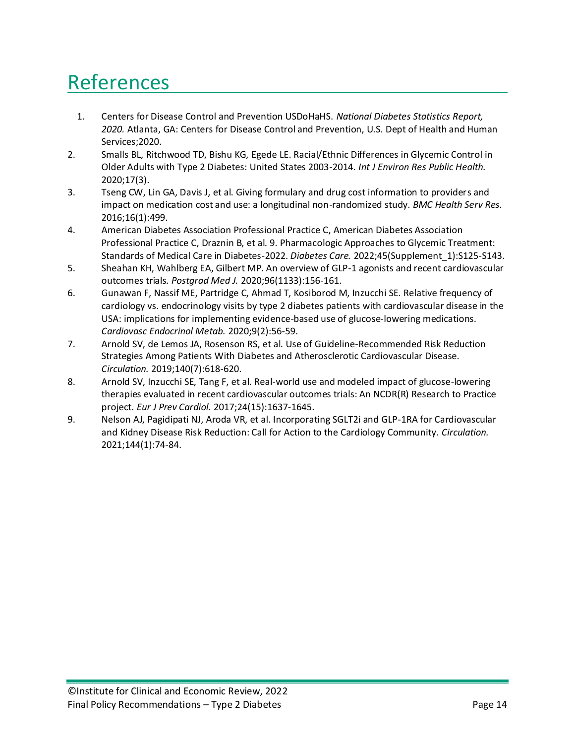## References

- <span id="page-13-0"></span>1. Centers for Disease Control and Prevention USDoHaHS. *National Diabetes Statistics Report, 2020.* Atlanta, GA: Centers for Disease Control and Prevention, U.S. Dept of Health and Human Services;2020.
- <span id="page-13-1"></span>2. Smalls BL, Ritchwood TD, Bishu KG, Egede LE. Racial/Ethnic Differences in Glycemic Control in Older Adults with Type 2 Diabetes: United States 2003-2014. *Int J Environ Res Public Health.*  2020;17(3).
- <span id="page-13-2"></span>3. Tseng CW, Lin GA, Davis J, et al. Giving formulary and drug cost information to providers and impact on medication cost and use: a longitudinal non-randomized study. *BMC Health Serv Res.*  2016;16(1):499.
- <span id="page-13-3"></span>4. American Diabetes Association Professional Practice C, American Diabetes Association Professional Practice C, Draznin B, et al. 9. Pharmacologic Approaches to Glycemic Treatment: Standards of Medical Care in Diabetes-2022. *Diabetes Care.* 2022;45(Supplement\_1):S125-S143.
- <span id="page-13-4"></span>5. Sheahan KH, Wahlberg EA, Gilbert MP. An overview of GLP-1 agonists and recent cardiovascular outcomes trials. *Postgrad Med J.* 2020;96(1133):156-161.
- <span id="page-13-5"></span>6. Gunawan F, Nassif ME, Partridge C, Ahmad T, Kosiborod M, Inzucchi SE. Relative frequency of cardiology vs. endocrinology visits by type 2 diabetes patients with cardiovascular disease in the USA: implications for implementing evidence-based use of glucose-lowering medications. *Cardiovasc Endocrinol Metab.* 2020;9(2):56-59.
- <span id="page-13-6"></span>7. Arnold SV, de Lemos JA, Rosenson RS, et al. Use of Guideline-Recommended Risk Reduction Strategies Among Patients With Diabetes and Atherosclerotic Cardiovascular Disease. *Circulation.* 2019;140(7):618-620.
- <span id="page-13-7"></span>8. Arnold SV, Inzucchi SE, Tang F, et al. Real-world use and modeled impact of glucose-lowering therapies evaluated in recent cardiovascular outcomes trials: An NCDR(R) Research to Practice project. *Eur J Prev Cardiol.* 2017;24(15):1637-1645.
- <span id="page-13-8"></span>9. Nelson AJ, Pagidipati NJ, Aroda VR, et al. Incorporating SGLT2i and GLP-1RA for Cardiovascular and Kidney Disease Risk Reduction: Call for Action to the Cardiology Community. *Circulation.*  2021;144(1):74-84.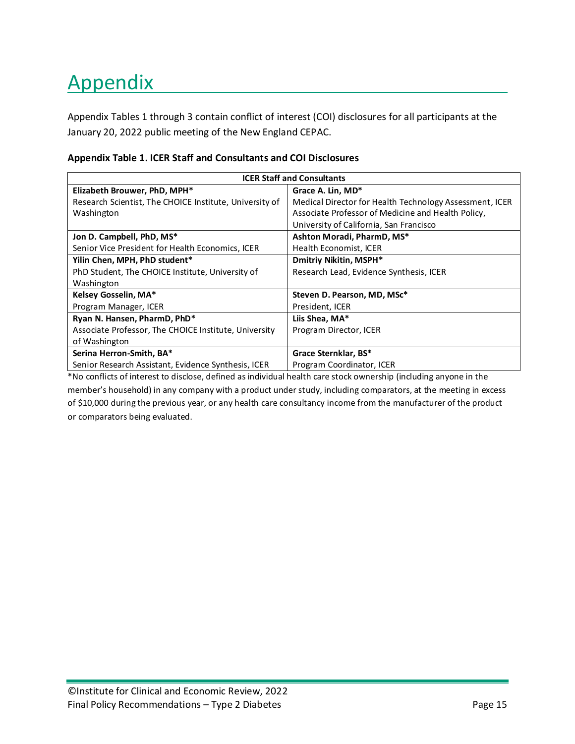# Appendix

Appendix Tables 1 through 3 contain conflict of interest (COI) disclosures for all participants at the January 20, 2022 public meeting of the New England CEPAC.

#### **Appendix Table 1. ICER Staff and Consultants and COI Disclosures**

| <b>ICER Staff and Consultants</b>                       |                                                         |  |  |
|---------------------------------------------------------|---------------------------------------------------------|--|--|
| Elizabeth Brouwer, PhD, MPH*                            | Grace A. Lin, MD*                                       |  |  |
| Research Scientist, The CHOICE Institute, University of | Medical Director for Health Technology Assessment, ICER |  |  |
| Washington                                              | Associate Professor of Medicine and Health Policy,      |  |  |
|                                                         | University of California, San Francisco                 |  |  |
| Jon D. Campbell, PhD, MS*                               | Ashton Moradi, PharmD, MS*                              |  |  |
| Senior Vice President for Health Economics, ICER        | Health Economist, ICER                                  |  |  |
| Yilin Chen, MPH, PhD student*                           | Dmitriy Nikitin, MSPH*                                  |  |  |
| PhD Student, The CHOICE Institute, University of        | Research Lead, Evidence Synthesis, ICER                 |  |  |
| Washington                                              |                                                         |  |  |
| Kelsey Gosselin, MA*                                    | Steven D. Pearson, MD, MSc*                             |  |  |
| Program Manager, ICER                                   | President, ICER                                         |  |  |
| Ryan N. Hansen, PharmD, PhD*                            | Liis Shea, MA*                                          |  |  |
| Associate Professor, The CHOICE Institute, University   | Program Director, ICER                                  |  |  |
| of Washington                                           |                                                         |  |  |
| Serina Herron-Smith, BA*                                | Grace Sternklar, BS*                                    |  |  |
| Senior Research Assistant, Evidence Synthesis, ICER     | Program Coordinator, ICER                               |  |  |

\*No conflicts of interest to disclose, defined as individual health care stock ownership (including anyone in the member's household) in any company with a product under study, including comparators, at the meeting in excess of \$10,000 during the previous year, or any health care consultancy income from the manufacturer of the product or comparators being evaluated.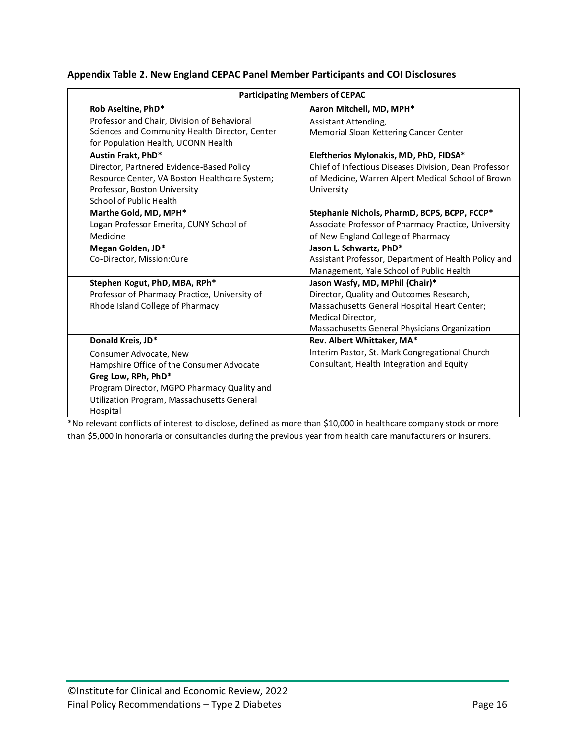|  | Appendix Table 2. New England CEPAC Panel Member Participants and COI Disclosures |  |  |  |
|--|-----------------------------------------------------------------------------------|--|--|--|
|--|-----------------------------------------------------------------------------------|--|--|--|

|                                                | <b>Participating Members of CEPAC</b>                 |  |  |
|------------------------------------------------|-------------------------------------------------------|--|--|
| Rob Aseltine, PhD*                             | Aaron Mitchell, MD, MPH*                              |  |  |
| Professor and Chair, Division of Behavioral    | Assistant Attending,                                  |  |  |
| Sciences and Community Health Director, Center | Memorial Sloan Kettering Cancer Center                |  |  |
| for Population Health, UCONN Health            |                                                       |  |  |
| Austin Frakt, PhD*                             | Eleftherios Mylonakis, MD, PhD, FIDSA*                |  |  |
| Director, Partnered Evidence-Based Policy      | Chief of Infectious Diseases Division, Dean Professor |  |  |
| Resource Center, VA Boston Healthcare System;  | of Medicine, Warren Alpert Medical School of Brown    |  |  |
| Professor, Boston University                   | University                                            |  |  |
| School of Public Health                        |                                                       |  |  |
| Marthe Gold, MD, MPH*                          | Stephanie Nichols, PharmD, BCPS, BCPP, FCCP*          |  |  |
| Logan Professor Emerita, CUNY School of        | Associate Professor of Pharmacy Practice, University  |  |  |
| Medicine                                       | of New England College of Pharmacy                    |  |  |
| Megan Golden, JD*                              | Jason L. Schwartz, PhD*                               |  |  |
| Co-Director, Mission:Cure                      | Assistant Professor, Department of Health Policy and  |  |  |
|                                                | Management, Yale School of Public Health              |  |  |
| Stephen Kogut, PhD, MBA, RPh*                  | Jason Wasfy, MD, MPhil (Chair)*                       |  |  |
| Professor of Pharmacy Practice, University of  | Director, Quality and Outcomes Research,              |  |  |
| Rhode Island College of Pharmacy               | Massachusetts General Hospital Heart Center;          |  |  |
|                                                | Medical Director,                                     |  |  |
|                                                | Massachusetts General Physicians Organization         |  |  |
| Donald Kreis, JD*                              | Rev. Albert Whittaker, MA*                            |  |  |
| Consumer Advocate, New                         | Interim Pastor, St. Mark Congregational Church        |  |  |
| Hampshire Office of the Consumer Advocate      | Consultant, Health Integration and Equity             |  |  |
| Greg Low, RPh, PhD*                            |                                                       |  |  |
| Program Director, MGPO Pharmacy Quality and    |                                                       |  |  |
| Utilization Program, Massachusetts General     |                                                       |  |  |
| Hospital                                       |                                                       |  |  |

\*No relevant conflicts of interest to disclose, defined as more than \$10,000 in healthcare company stock or more than \$5,000 in honoraria or consultancies during the previous year from health care manufacturers or insurers.